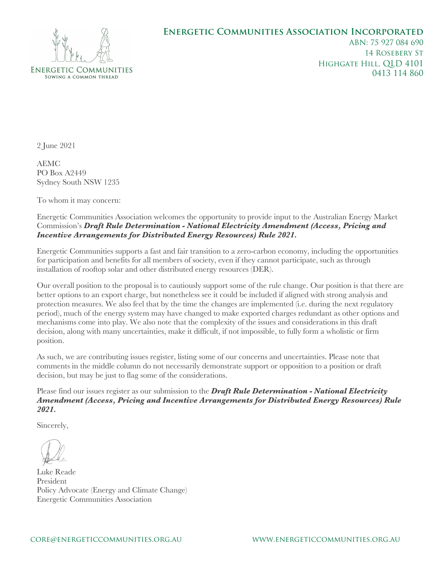## ENERGETIC COMMUNITIES SOWING A COMMON THREAD

## **Energetic Communities Association Incorporated**

ABN: 75 927 084 690 14 Rosebery St Highgate Hill, QLD 4101 0413 114 860

2 June 2021

AEMC PO Box A2449 Sydney South NSW 1235

To whom it may concern:

Energetic Communities Association welcomes the opportunity to provide input to the Australian Energy Market Commission's *Draft Rule Determination - National Electricity Amendment (Access, Pricing and Incentive Arrangements for Distributed Energy Resources) Rule 2021.*

Energetic Communities supports a fast and fair transition to a zero-carbon economy, including the opportunities for participation and benefits for all members of society, even if they cannot participate, such as through installation of rooftop solar and other distributed energy resources (DER).

Our overall position to the proposal is to cautiously support some of the rule change. Our position is that there are better options to an export charge, but nonetheless see it could be included if aligned with strong analysis and protection measures. We also feel that by the time the changes are implemented (i.e. during the next regulatory period), much of the energy system may have changed to make exported charges redundant as other options and mechanisms come into play. We also note that the complexity of the issues and considerations in this draft decision, along with many uncertainties, make it difficult, if not impossible, to fully form a wholistic or firm position.

As such, we are contributing issues register, listing some of our concerns and uncertainties. Please note that comments in the middle column do not necessarily demonstrate support or opposition to a position or draft decision, but may be just to flag some of the considerations.

Please find our issues register as our submission to the *Draft Rule Determination - National Electricity Amendment (Access, Pricing and Incentive Arrangements for Distributed Energy Resources) Rule 2021.*

Sincerely,

Luke Reade President Policy Advocate (Energy and Climate Change) Energetic Communities Association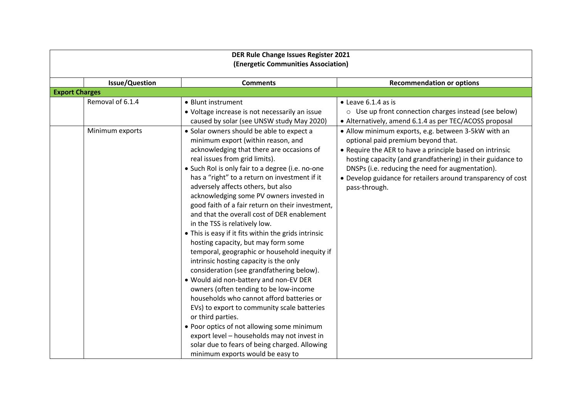| <b>DER Rule Change Issues Register 2021</b> |                                                                                                                                                                                                                                                                                                                                                                                                                                                                                                                                                                                                                                                                                                                                                                                                                                                                                                                                                                                     |                                                                                                                                                                                                                                                                                                                                                          |  |
|---------------------------------------------|-------------------------------------------------------------------------------------------------------------------------------------------------------------------------------------------------------------------------------------------------------------------------------------------------------------------------------------------------------------------------------------------------------------------------------------------------------------------------------------------------------------------------------------------------------------------------------------------------------------------------------------------------------------------------------------------------------------------------------------------------------------------------------------------------------------------------------------------------------------------------------------------------------------------------------------------------------------------------------------|----------------------------------------------------------------------------------------------------------------------------------------------------------------------------------------------------------------------------------------------------------------------------------------------------------------------------------------------------------|--|
| (Energetic Communities Association)         |                                                                                                                                                                                                                                                                                                                                                                                                                                                                                                                                                                                                                                                                                                                                                                                                                                                                                                                                                                                     |                                                                                                                                                                                                                                                                                                                                                          |  |
|                                             |                                                                                                                                                                                                                                                                                                                                                                                                                                                                                                                                                                                                                                                                                                                                                                                                                                                                                                                                                                                     |                                                                                                                                                                                                                                                                                                                                                          |  |
| <b>Issue/Question</b>                       | <b>Comments</b>                                                                                                                                                                                                                                                                                                                                                                                                                                                                                                                                                                                                                                                                                                                                                                                                                                                                                                                                                                     | <b>Recommendation or options</b>                                                                                                                                                                                                                                                                                                                         |  |
| <b>Export Charges</b>                       |                                                                                                                                                                                                                                                                                                                                                                                                                                                                                                                                                                                                                                                                                                                                                                                                                                                                                                                                                                                     |                                                                                                                                                                                                                                                                                                                                                          |  |
| Removal of 6.1.4                            | • Blunt instrument                                                                                                                                                                                                                                                                                                                                                                                                                                                                                                                                                                                                                                                                                                                                                                                                                                                                                                                                                                  | $\bullet$ Leave 6.1.4 as is                                                                                                                                                                                                                                                                                                                              |  |
|                                             | • Voltage increase is not necessarily an issue                                                                                                                                                                                                                                                                                                                                                                                                                                                                                                                                                                                                                                                                                                                                                                                                                                                                                                                                      | o Use up front connection charges instead (see below)                                                                                                                                                                                                                                                                                                    |  |
|                                             | caused by solar (see UNSW study May 2020)                                                                                                                                                                                                                                                                                                                                                                                                                                                                                                                                                                                                                                                                                                                                                                                                                                                                                                                                           | • Alternatively, amend 6.1.4 as per TEC/ACOSS proposal                                                                                                                                                                                                                                                                                                   |  |
| Minimum exports                             | • Solar owners should be able to expect a<br>minimum export (within reason, and<br>acknowledging that there are occasions of<br>real issues from grid limits).<br>• Such RoI is only fair to a degree (i.e. no-one<br>has a "right" to a return on investment if it<br>adversely affects others, but also<br>acknowledging some PV owners invested in<br>good faith of a fair return on their investment,<br>and that the overall cost of DER enablement<br>in the TSS is relatively low.<br>• This is easy if it fits within the grids intrinsic<br>hosting capacity, but may form some<br>temporal, geographic or household inequity if<br>intrinsic hosting capacity is the only<br>consideration (see grandfathering below).<br>. Would aid non-battery and non-EV DER<br>owners (often tending to be low-income<br>households who cannot afford batteries or<br>EVs) to export to community scale batteries<br>or third parties.<br>• Poor optics of not allowing some minimum | • Allow minimum exports, e.g. between 3-5kW with an<br>optional paid premium beyond that.<br>• Require the AER to have a principle based on intrinsic<br>hosting capacity (and grandfathering) in their guidance to<br>DNSPs (i.e. reducing the need for augmentation).<br>• Develop guidance for retailers around transparency of cost<br>pass-through. |  |
|                                             | export level - households may not invest in                                                                                                                                                                                                                                                                                                                                                                                                                                                                                                                                                                                                                                                                                                                                                                                                                                                                                                                                         |                                                                                                                                                                                                                                                                                                                                                          |  |
|                                             | solar due to fears of being charged. Allowing                                                                                                                                                                                                                                                                                                                                                                                                                                                                                                                                                                                                                                                                                                                                                                                                                                                                                                                                       |                                                                                                                                                                                                                                                                                                                                                          |  |
|                                             | minimum exports would be easy to                                                                                                                                                                                                                                                                                                                                                                                                                                                                                                                                                                                                                                                                                                                                                                                                                                                                                                                                                    |                                                                                                                                                                                                                                                                                                                                                          |  |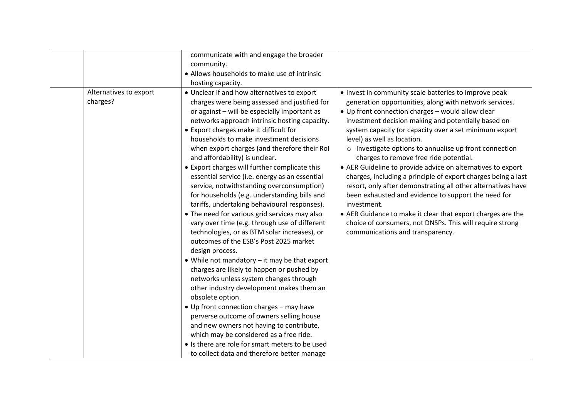|                                    | communicate with and engage the broader<br>community.<br>• Allows households to make use of intrinsic<br>hosting capacity.                                                                                                                                                                                                                                                                                                                                                                                                                                                                                                                                                                                                                                                                                                                                                                                                                                                                                                                                                                                                                                                                                                                                                                                                   |                                                                                                                                                                                                                                                                                                                                                                                                                                                                                                                                                                                                                                                                                                                                                                                                                                                               |
|------------------------------------|------------------------------------------------------------------------------------------------------------------------------------------------------------------------------------------------------------------------------------------------------------------------------------------------------------------------------------------------------------------------------------------------------------------------------------------------------------------------------------------------------------------------------------------------------------------------------------------------------------------------------------------------------------------------------------------------------------------------------------------------------------------------------------------------------------------------------------------------------------------------------------------------------------------------------------------------------------------------------------------------------------------------------------------------------------------------------------------------------------------------------------------------------------------------------------------------------------------------------------------------------------------------------------------------------------------------------|---------------------------------------------------------------------------------------------------------------------------------------------------------------------------------------------------------------------------------------------------------------------------------------------------------------------------------------------------------------------------------------------------------------------------------------------------------------------------------------------------------------------------------------------------------------------------------------------------------------------------------------------------------------------------------------------------------------------------------------------------------------------------------------------------------------------------------------------------------------|
| Alternatives to export<br>charges? | • Unclear if and how alternatives to export<br>charges were being assessed and justified for<br>or against - will be especially important as<br>networks approach intrinsic hosting capacity.<br>• Export charges make it difficult for<br>households to make investment decisions<br>when export charges (and therefore their RoI<br>and affordability) is unclear.<br>• Export charges will further complicate this<br>essential service (i.e. energy as an essential<br>service, notwithstanding overconsumption)<br>for households (e.g. understanding bills and<br>tariffs, undertaking behavioural responses).<br>• The need for various grid services may also<br>vary over time (e.g. through use of different<br>technologies, or as BTM solar increases), or<br>outcomes of the ESB's Post 2025 market<br>design process.<br>• While not mandatory - it may be that export<br>charges are likely to happen or pushed by<br>networks unless system changes through<br>other industry development makes them an<br>obsolete option.<br>• Up front connection charges - may have<br>perverse outcome of owners selling house<br>and new owners not having to contribute,<br>which may be considered as a free ride.<br>• Is there are role for smart meters to be used<br>to collect data and therefore better manage | • Invest in community scale batteries to improve peak<br>generation opportunities, along with network services.<br>• Up front connection charges - would allow clear<br>investment decision making and potentially based on<br>system capacity (or capacity over a set minimum export<br>level) as well as location.<br>o Investigate options to annualise up front connection<br>charges to remove free ride potential.<br>• AER Guideline to provide advice on alternatives to export<br>charges, including a principle of export charges being a last<br>resort, only after demonstrating all other alternatives have<br>been exhausted and evidence to support the need for<br>investment.<br>• AER Guidance to make it clear that export charges are the<br>choice of consumers, not DNSPs. This will require strong<br>communications and transparency. |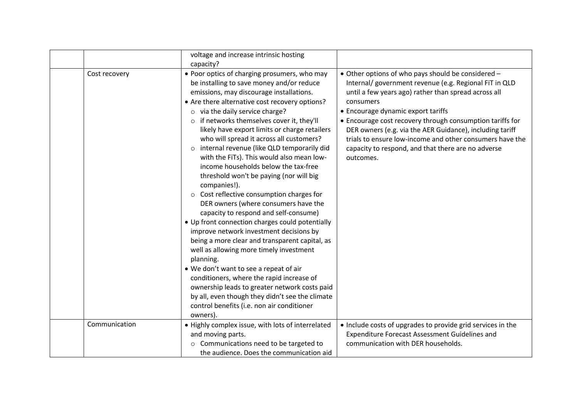|               | voltage and increase intrinsic hosting<br>capacity?                                                                                                                                                                                                                                                                                                                                                                                                                                                                                                                                                                                                                                                                                                                                                                                                                                                                                                                                                                                                                                                                                                                             |                                                                                                                                                                                                                                                                                                                                                                                                                                                                                 |
|---------------|---------------------------------------------------------------------------------------------------------------------------------------------------------------------------------------------------------------------------------------------------------------------------------------------------------------------------------------------------------------------------------------------------------------------------------------------------------------------------------------------------------------------------------------------------------------------------------------------------------------------------------------------------------------------------------------------------------------------------------------------------------------------------------------------------------------------------------------------------------------------------------------------------------------------------------------------------------------------------------------------------------------------------------------------------------------------------------------------------------------------------------------------------------------------------------|---------------------------------------------------------------------------------------------------------------------------------------------------------------------------------------------------------------------------------------------------------------------------------------------------------------------------------------------------------------------------------------------------------------------------------------------------------------------------------|
| Cost recovery | • Poor optics of charging prosumers, who may<br>be installing to save money and/or reduce<br>emissions, may discourage installations.<br>• Are there alternative cost recovery options?<br>$\circ$ via the daily service charge?<br>if networks themselves cover it, they'll<br>$\circ$<br>likely have export limits or charge retailers<br>who will spread it across all customers?<br>o internal revenue (like QLD temporarily did<br>with the FiTs). This would also mean low-<br>income households below the tax-free<br>threshold won't be paying (nor will big<br>companies!).<br>o Cost reflective consumption charges for<br>DER owners (where consumers have the<br>capacity to respond and self-consume)<br>• Up front connection charges could potentially<br>improve network investment decisions by<br>being a more clear and transparent capital, as<br>well as allowing more timely investment<br>planning.<br>. We don't want to see a repeat of air<br>conditioners, where the rapid increase of<br>ownership leads to greater network costs paid<br>by all, even though they didn't see the climate<br>control benefits (i.e. non air conditioner<br>owners). | • Other options of who pays should be considered -<br>Internal/ government revenue (e.g. Regional FiT in QLD<br>until a few years ago) rather than spread across all<br>consumers<br>• Encourage dynamic export tariffs<br>• Encourage cost recovery through consumption tariffs for<br>DER owners (e.g. via the AER Guidance), including tariff<br>trials to ensure low-income and other consumers have the<br>capacity to respond, and that there are no adverse<br>outcomes. |
| Communication | . Highly complex issue, with lots of interrelated<br>and moving parts.<br>Communications need to be targeted to<br>$\circ$<br>the audience. Does the communication aid                                                                                                                                                                                                                                                                                                                                                                                                                                                                                                                                                                                                                                                                                                                                                                                                                                                                                                                                                                                                          | • Include costs of upgrades to provide grid services in the<br>Expenditure Forecast Assessment Guidelines and<br>communication with DER households.                                                                                                                                                                                                                                                                                                                             |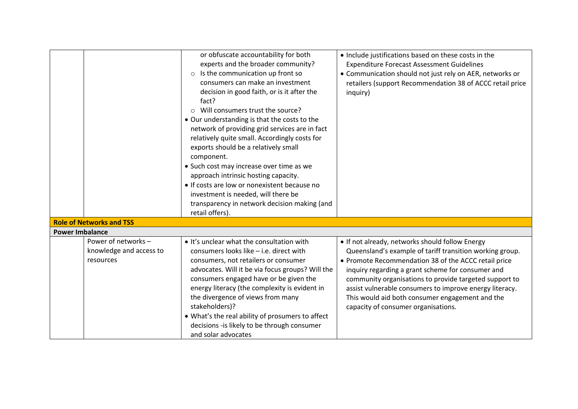|                        |                                                             | or obfuscate accountability for both<br>experts and the broader community?<br>$\circ$ Is the communication up front so<br>consumers can make an investment<br>decision in good faith, or is it after the<br>fact?<br>o Will consumers trust the source?<br>• Our understanding is that the costs to the<br>network of providing grid services are in fact<br>relatively quite small. Accordingly costs for                                                   | . Include justifications based on these costs in the<br><b>Expenditure Forecast Assessment Guidelines</b><br>• Communication should not just rely on AER, networks or<br>retailers (support Recommendation 38 of ACCC retail price<br>inquiry)                                                                                                                                                                                          |
|------------------------|-------------------------------------------------------------|--------------------------------------------------------------------------------------------------------------------------------------------------------------------------------------------------------------------------------------------------------------------------------------------------------------------------------------------------------------------------------------------------------------------------------------------------------------|-----------------------------------------------------------------------------------------------------------------------------------------------------------------------------------------------------------------------------------------------------------------------------------------------------------------------------------------------------------------------------------------------------------------------------------------|
|                        | <b>Role of Networks and TSS</b>                             | exports should be a relatively small<br>component.<br>• Such cost may increase over time as we<br>approach intrinsic hosting capacity.<br>• If costs are low or nonexistent because no<br>investment is needed, will there be<br>transparency in network decision making (and<br>retail offers).                                                                                                                                                             |                                                                                                                                                                                                                                                                                                                                                                                                                                         |
| <b>Power Imbalance</b> |                                                             |                                                                                                                                                                                                                                                                                                                                                                                                                                                              |                                                                                                                                                                                                                                                                                                                                                                                                                                         |
|                        | Power of networks -<br>knowledge and access to<br>resources | . It's unclear what the consultation with<br>consumers looks like - i.e. direct with<br>consumers, not retailers or consumer<br>advocates. Will it be via focus groups? Will the<br>consumers engaged have or be given the<br>energy literacy (the complexity is evident in<br>the divergence of views from many<br>stakeholders)?<br>. What's the real ability of prosumers to affect<br>decisions -is likely to be through consumer<br>and solar advocates | • If not already, networks should follow Energy<br>Queensland's example of tariff transition working group.<br>• Promote Recommendation 38 of the ACCC retail price<br>inquiry regarding a grant scheme for consumer and<br>community organisations to provide targeted support to<br>assist vulnerable consumers to improve energy literacy.<br>This would aid both consumer engagement and the<br>capacity of consumer organisations. |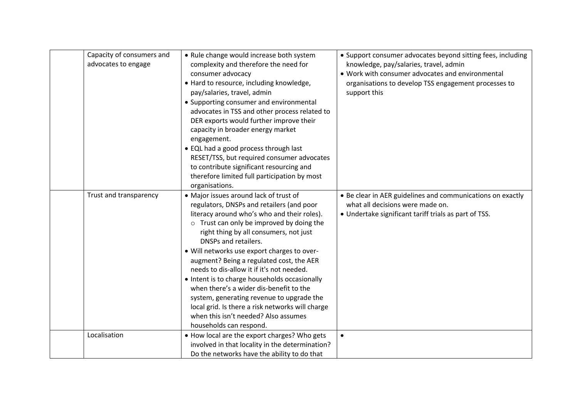| Capacity of consumers and<br>advocates to engage | • Rule change would increase both system<br>complexity and therefore the need for<br>consumer advocacy<br>• Hard to resource, including knowledge,<br>pay/salaries, travel, admin<br>• Supporting consumer and environmental<br>advocates in TSS and other process related to<br>DER exports would further improve their<br>capacity in broader energy market<br>engagement.<br>• EQL had a good process through last<br>RESET/TSS, but required consumer advocates<br>to contribute significant resourcing and<br>therefore limited full participation by most<br>organisations.                                                                               | • Support consumer advocates beyond sitting fees, including<br>knowledge, pay/salaries, travel, admin<br>. Work with consumer advocates and environmental<br>organisations to develop TSS engagement processes to<br>support this |
|--------------------------------------------------|-----------------------------------------------------------------------------------------------------------------------------------------------------------------------------------------------------------------------------------------------------------------------------------------------------------------------------------------------------------------------------------------------------------------------------------------------------------------------------------------------------------------------------------------------------------------------------------------------------------------------------------------------------------------|-----------------------------------------------------------------------------------------------------------------------------------------------------------------------------------------------------------------------------------|
| Trust and transparency                           | • Major issues around lack of trust of<br>regulators, DNSPs and retailers (and poor<br>literacy around who's who and their roles).<br>$\circ$ Trust can only be improved by doing the<br>right thing by all consumers, not just<br>DNSPs and retailers.<br>• Will networks use export charges to over-<br>augment? Being a regulated cost, the AER<br>needs to dis-allow it if it's not needed.<br>• Intent is to charge households occasionally<br>when there's a wider dis-benefit to the<br>system, generating revenue to upgrade the<br>local grid. Is there a risk networks will charge<br>when this isn't needed? Also assumes<br>households can respond. | • Be clear in AER guidelines and communications on exactly<br>what all decisions were made on.<br>• Undertake significant tariff trials as part of TSS.                                                                           |
| Localisation                                     | . How local are the export charges? Who gets<br>involved in that locality in the determination?<br>Do the networks have the ability to do that                                                                                                                                                                                                                                                                                                                                                                                                                                                                                                                  | $\bullet$                                                                                                                                                                                                                         |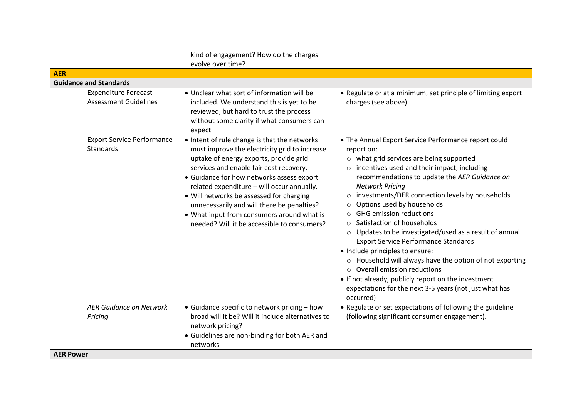|                                                             | kind of engagement? How do the charges<br>evolve over time?                                                                                                                                                                                                                                                                                                                                                                                                          |                                                                                                                                                                                                                                                                                                                                                                                                                                                                                                                                                                                                                                                                                                                                                                                                          |
|-------------------------------------------------------------|----------------------------------------------------------------------------------------------------------------------------------------------------------------------------------------------------------------------------------------------------------------------------------------------------------------------------------------------------------------------------------------------------------------------------------------------------------------------|----------------------------------------------------------------------------------------------------------------------------------------------------------------------------------------------------------------------------------------------------------------------------------------------------------------------------------------------------------------------------------------------------------------------------------------------------------------------------------------------------------------------------------------------------------------------------------------------------------------------------------------------------------------------------------------------------------------------------------------------------------------------------------------------------------|
| <b>AER</b>                                                  |                                                                                                                                                                                                                                                                                                                                                                                                                                                                      |                                                                                                                                                                                                                                                                                                                                                                                                                                                                                                                                                                                                                                                                                                                                                                                                          |
| <b>Guidance and Standards</b>                               |                                                                                                                                                                                                                                                                                                                                                                                                                                                                      |                                                                                                                                                                                                                                                                                                                                                                                                                                                                                                                                                                                                                                                                                                                                                                                                          |
| <b>Expenditure Forecast</b><br><b>Assessment Guidelines</b> | • Unclear what sort of information will be<br>included. We understand this is yet to be<br>reviewed, but hard to trust the process<br>without some clarity if what consumers can<br>expect                                                                                                                                                                                                                                                                           | • Regulate or at a minimum, set principle of limiting export<br>charges (see above).                                                                                                                                                                                                                                                                                                                                                                                                                                                                                                                                                                                                                                                                                                                     |
| <b>Export Service Performance</b><br><b>Standards</b>       | • Intent of rule change is that the networks<br>must improve the electricity grid to increase<br>uptake of energy exports, provide grid<br>services and enable fair cost recovery.<br>• Guidance for how networks assess export<br>related expenditure - will occur annually.<br>• Will networks be assessed for charging<br>unnecessarily and will there be penalties?<br>• What input from consumers around what is<br>needed? Will it be accessible to consumers? | • The Annual Export Service Performance report could<br>report on:<br>o what grid services are being supported<br>incentives used and their impact, including<br>recommendations to update the AER Guidance on<br><b>Network Pricing</b><br>investments/DER connection levels by households<br>$\circ$<br>Options used by households<br>$\circ$<br><b>GHG emission reductions</b><br>$\circ$<br>Satisfaction of households<br>o Updates to be investigated/used as a result of annual<br><b>Export Service Performance Standards</b><br>• Include principles to ensure:<br>o Household will always have the option of not exporting<br>$\circ$ Overall emission reductions<br>• If not already, publicly report on the investment<br>expectations for the next 3-5 years (not just what has<br>occurred) |
| <b>AER Guidance on Network</b><br>Pricing                   | • Guidance specific to network pricing - how<br>broad will it be? Will it include alternatives to<br>network pricing?<br>• Guidelines are non-binding for both AER and                                                                                                                                                                                                                                                                                               | • Regulate or set expectations of following the guideline<br>(following significant consumer engagement).                                                                                                                                                                                                                                                                                                                                                                                                                                                                                                                                                                                                                                                                                                |
| <b>AER Power</b>                                            | networks                                                                                                                                                                                                                                                                                                                                                                                                                                                             |                                                                                                                                                                                                                                                                                                                                                                                                                                                                                                                                                                                                                                                                                                                                                                                                          |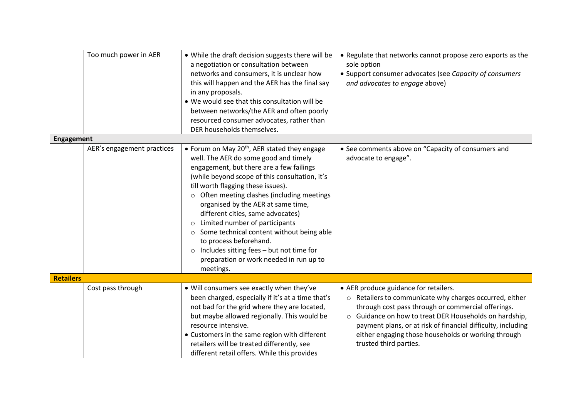| <b>Engagement</b> | Too much power in AER      | . While the draft decision suggests there will be<br>a negotiation or consultation between<br>networks and consumers, it is unclear how<br>this will happen and the AER has the final say<br>in any proposals.<br>. We would see that this consultation will be<br>between networks/the AER and often poorly<br>resourced consumer advocates, rather than<br>DER households themselves.                                                                                                                                      | • Regulate that networks cannot propose zero exports as the<br>sole option<br>• Support consumer advocates (see Capacity of consumers<br>and advocates to engage above)                                                                                                                                                                                                    |
|-------------------|----------------------------|------------------------------------------------------------------------------------------------------------------------------------------------------------------------------------------------------------------------------------------------------------------------------------------------------------------------------------------------------------------------------------------------------------------------------------------------------------------------------------------------------------------------------|----------------------------------------------------------------------------------------------------------------------------------------------------------------------------------------------------------------------------------------------------------------------------------------------------------------------------------------------------------------------------|
|                   | AER's engagement practices | • Forum on May $20th$ , AER stated they engage                                                                                                                                                                                                                                                                                                                                                                                                                                                                               | • See comments above on "Capacity of consumers and                                                                                                                                                                                                                                                                                                                         |
|                   |                            | well. The AER do some good and timely<br>engagement, but there are a few failings<br>(while beyond scope of this consultation, it's<br>till worth flagging these issues).<br>o Often meeting clashes (including meetings<br>organised by the AER at same time,<br>different cities, same advocates)<br>o Limited number of participants<br>○ Some technical content without being able<br>to process beforehand.<br>$\circ$ Includes sitting fees - but not time for<br>preparation or work needed in run up to<br>meetings. | advocate to engage".                                                                                                                                                                                                                                                                                                                                                       |
| <b>Retailers</b>  |                            |                                                                                                                                                                                                                                                                                                                                                                                                                                                                                                                              |                                                                                                                                                                                                                                                                                                                                                                            |
|                   | Cost pass through          | . Will consumers see exactly when they've<br>been charged, especially if it's at a time that's<br>not bad for the grid where they are located,<br>but maybe allowed regionally. This would be<br>resource intensive.<br>• Customers in the same region with different<br>retailers will be treated differently, see<br>different retail offers. While this provides                                                                                                                                                          | • AER produce guidance for retailers.<br>Retailers to communicate why charges occurred, either<br>$\circ$<br>through cost pass through or commercial offerings.<br>○ Guidance on how to treat DER Households on hardship,<br>payment plans, or at risk of financial difficulty, including<br>either engaging those households or working through<br>trusted third parties. |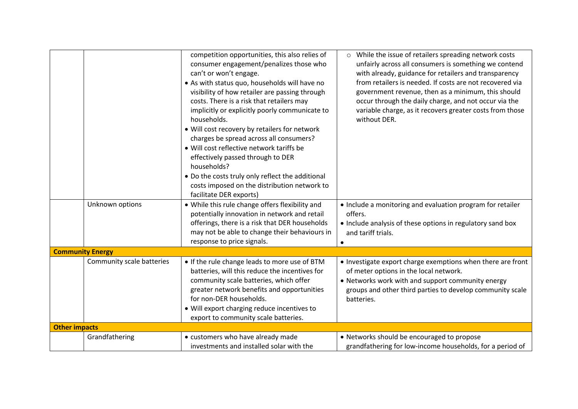|                         |                           | competition opportunities, this also relies of<br>consumer engagement/penalizes those who<br>can't or won't engage.<br>• As with status quo, households will have no<br>visibility of how retailer are passing through<br>costs. There is a risk that retailers may<br>implicitly or explicitly poorly communicate to<br>households.<br>. Will cost recovery by retailers for network<br>charges be spread across all consumers?<br>. Will cost reflective network tariffs be<br>effectively passed through to DER<br>households?<br>• Do the costs truly only reflect the additional<br>costs imposed on the distribution network to<br>facilitate DER exports) | o While the issue of retailers spreading network costs<br>unfairly across all consumers is something we contend<br>with already, guidance for retailers and transparency<br>from retailers is needed. If costs are not recovered via<br>government revenue, then as a minimum, this should<br>occur through the daily charge, and not occur via the<br>variable charge, as it recovers greater costs from those<br>without DER. |
|-------------------------|---------------------------|------------------------------------------------------------------------------------------------------------------------------------------------------------------------------------------------------------------------------------------------------------------------------------------------------------------------------------------------------------------------------------------------------------------------------------------------------------------------------------------------------------------------------------------------------------------------------------------------------------------------------------------------------------------|---------------------------------------------------------------------------------------------------------------------------------------------------------------------------------------------------------------------------------------------------------------------------------------------------------------------------------------------------------------------------------------------------------------------------------|
|                         | Unknown options           | • While this rule change offers flexibility and<br>potentially innovation in network and retail<br>offerings, there is a risk that DER households<br>may not be able to change their behaviours in<br>response to price signals.                                                                                                                                                                                                                                                                                                                                                                                                                                 | • Include a monitoring and evaluation program for retailer<br>offers.<br>• Include analysis of these options in regulatory sand box<br>and tariff trials.                                                                                                                                                                                                                                                                       |
| <b>Community Energy</b> |                           |                                                                                                                                                                                                                                                                                                                                                                                                                                                                                                                                                                                                                                                                  |                                                                                                                                                                                                                                                                                                                                                                                                                                 |
|                         | Community scale batteries | • If the rule change leads to more use of BTM<br>batteries, will this reduce the incentives for<br>community scale batteries, which offer<br>greater network benefits and opportunities<br>for non-DER households.<br>. Will export charging reduce incentives to<br>export to community scale batteries.                                                                                                                                                                                                                                                                                                                                                        | • Investigate export charge exemptions when there are front<br>of meter options in the local network.<br>• Networks work with and support community energy<br>groups and other third parties to develop community scale<br>batteries.                                                                                                                                                                                           |
| <b>Other impacts</b>    |                           |                                                                                                                                                                                                                                                                                                                                                                                                                                                                                                                                                                                                                                                                  |                                                                                                                                                                                                                                                                                                                                                                                                                                 |
|                         | Grandfathering            | • customers who have already made<br>investments and installed solar with the                                                                                                                                                                                                                                                                                                                                                                                                                                                                                                                                                                                    | • Networks should be encouraged to propose<br>grandfathering for low-income households, for a period of                                                                                                                                                                                                                                                                                                                         |